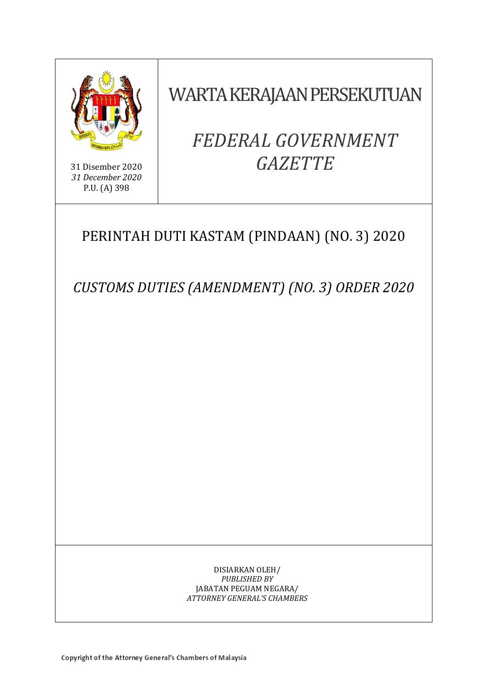

31 Disember 2020 *31 December 2020* P.U. (A) 398

WARTA KERAJAAN PERSEKUTUAN

# *FEDERAL GOVERNMENT GAZETTE*

# PERINTAH DUTI KASTAM (PINDAAN) (NO. 3) 2020

*CUSTOMS DUTIES (AMENDMENT) (NO. 3) ORDER 2020*

DISIARKAN OLEH/ *PUBLISHED BY* JABATAN PEGUAM NEGARA/ *ATTORNEY GENERAL'S CHAMBERS*

Copyright of the Attorney General's Chambers of Malaysia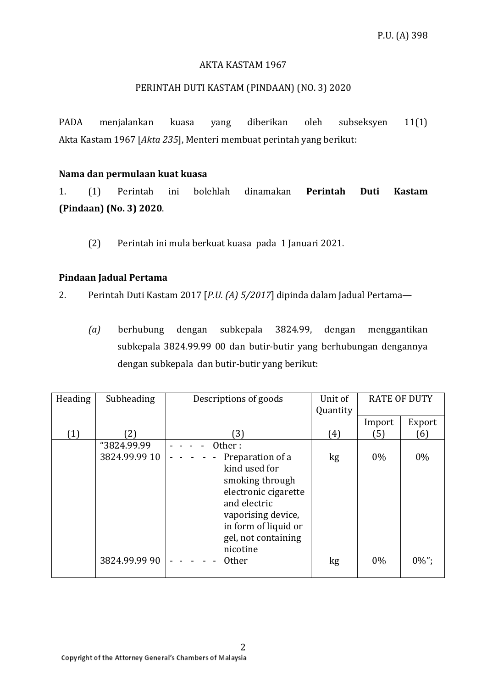# AKTA KASTAM 1967

# PERINTAH DUTI KASTAM (PINDAAN) (NO. 3) 2020

PADA menjalankan kuasa yang diberikan oleh subseksyen 11(1) Akta Kastam 1967 [*Akta 235*], Menteri membuat perintah yang berikut:

#### **Nama dan permulaan kuat kuasa**

1. (1) Perintah ini bolehlah dinamakan **Perintah Duti Kastam (Pindaan) (No. 3) 2020**.

(2) Perintah ini mula berkuat kuasa pada 1 Januari 2021.

# **Pindaan Jadual Pertama**

2. Perintah Duti Kastam 2017 [*P.U. (A) 5/2017*] dipinda dalam Jadual Pertama—

*(a)* berhubung dengan subkepala 3824.99, dengan menggantikan subkepala 3824.99.99 00 dan butir-butir yang berhubungan dengannya dengan subkepala dan butir-butir yang berikut:

| Heading | Subheading    | Descriptions of goods                                                                                                                                                         | Unit of<br>Quantity | <b>RATE OF DUTY</b> |          |
|---------|---------------|-------------------------------------------------------------------------------------------------------------------------------------------------------------------------------|---------------------|---------------------|----------|
|         |               |                                                                                                                                                                               |                     | Import              | Export   |
| (1)     | (2)           | 3)                                                                                                                                                                            | (4)                 | (5)                 | (6)      |
|         | "3824.99.99   | Other:                                                                                                                                                                        |                     |                     |          |
|         | 3824.99.99 10 | Preparation of a<br>kind used for<br>smoking through<br>electronic cigarette<br>and electric<br>vaporising device,<br>in form of liquid or<br>gel, not containing<br>nicotine | kg                  | $0\%$               | $0\%$    |
|         | 3824.99.99 90 | <b>Other</b>                                                                                                                                                                  | kg                  | $0\%$               | $0\%$ "; |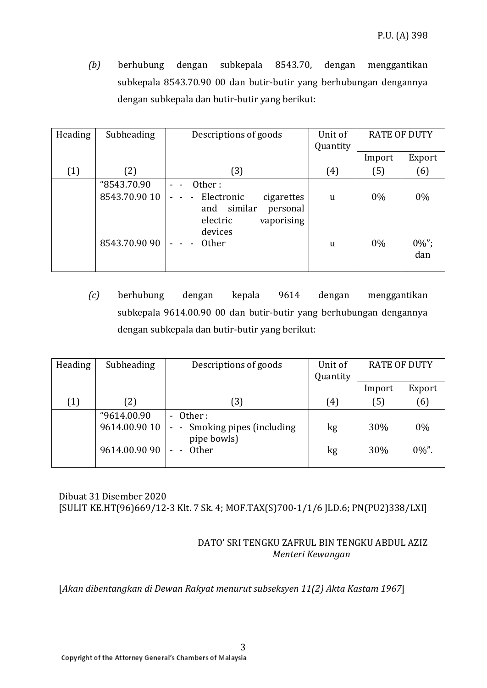*(b)* berhubung dengan subkepala 8543.70, dengan menggantikan subkepala 8543.70.90 00 dan butir-butir yang berhubungan dengannya dengan subkepala dan butir-butir yang berikut:

| Heading | Subheading    | Descriptions of goods                                                                                         | Unit of<br>Quantity | <b>RATE OF DUTY</b> |                 |
|---------|---------------|---------------------------------------------------------------------------------------------------------------|---------------------|---------------------|-----------------|
|         |               |                                                                                                               |                     | Import              | Export          |
| (1)     | (2)           | (3)                                                                                                           | (4)                 | (5)                 | (6)             |
|         | "8543.70.90   | Other:                                                                                                        |                     |                     |                 |
|         | 8543.70.90 10 | Electronic<br>cigarettes<br>$\blacksquare$<br>similar<br>and<br>personal<br>electric<br>vaporising<br>devices | <sub>u</sub>        | $0\%$               | $0\%$           |
|         | 8543.70.90 90 | Other                                                                                                         | u                   | $0\%$               | $0\%$ ";<br>dan |

*(c)* berhubung dengan kepala 9614 dengan menggantikan subkepala 9614.00.90 00 dan butir-butir yang berhubungan dengannya dengan subkepala dan butir-butir yang berikut:

| Subheading    | Descriptions of goods        | Unit of     | <b>RATE OF DUTY</b> |          |
|---------------|------------------------------|-------------|---------------------|----------|
|               |                              |             |                     |          |
|               |                              |             | Import              | Export   |
| (2)           | 3)                           | (4)         | (5)                 | (6)      |
| "9614.00.90   | - Other:                     |             |                     |          |
| 9614.00.90 10 | - - Smoking pipes (including | kg          | 30%                 | 0%       |
| 9614.00.90 90 | Other                        | kg          | 30%                 | $0\%$ ". |
|               |                              | pipe bowls) | Quantity            |          |

Dibuat 31 Disember 2020 [SULIT KE.HT(96)669/12-3 Klt. 7 Sk. 4; MOF.TAX(S)700-1/1/6 JLD.6; PN(PU2)338/LXI]

# DATO' SRI TENGKU ZAFRUL BIN TENGKU ABDUL AZIZ *Menteri Kewangan*

[*Akan dibentangkan di Dewan Rakyat menurut subseksyen 11(2) Akta Kastam 1967*]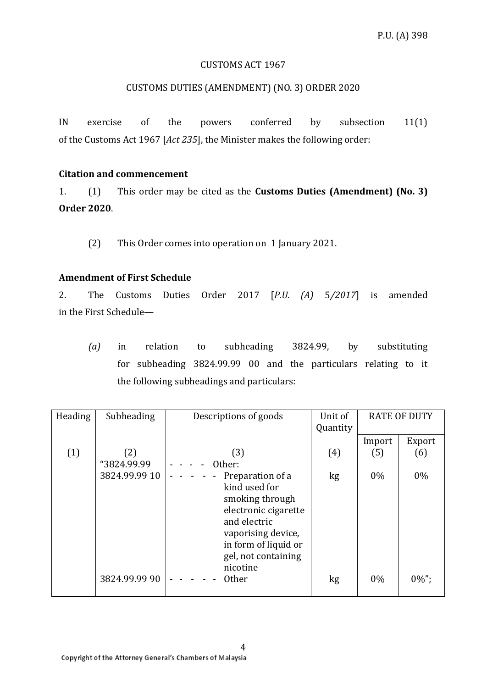# CUSTOMS ACT 1967

# CUSTOMS DUTIES (AMENDMENT) (NO. 3) ORDER 2020

IN exercise of the powers conferred by subsection 11(1) of the Customs Act 1967 [*Act 235*], the Minister makes the following order:

#### **Citation and commencement**

1. (1) This order may be cited as the **Customs Duties (Amendment) (No. 3) Order 2020**.

(2) This Order comes into operation on 1 January 2021.

# **Amendment of First Schedule**

2. The Customs Duties Order 2017 [*P.U. (A)* 5*/2017*] is amended in the First Schedule—

*(a)* in relation to subheading 3824.99, by substituting for subheading 3824.99.99 00 and the particulars relating to it the following subheadings and particulars:

| Heading | Subheading    | Descriptions of goods | Unit of  | <b>RATE OF DUTY</b> |          |
|---------|---------------|-----------------------|----------|---------------------|----------|
|         |               |                       | Quantity |                     |          |
|         |               |                       |          | Import              | Export   |
| (1)     | 〔2〕           | 3)                    | (4)      | (5)                 | (6)      |
|         | "3824.99.99   | Other:                |          |                     |          |
|         | 3824.99.99 10 | Preparation of a      | kg       | $0\%$               | $0\%$    |
|         |               | kind used for         |          |                     |          |
|         |               | smoking through       |          |                     |          |
|         |               | electronic cigarette  |          |                     |          |
|         |               | and electric          |          |                     |          |
|         |               | vaporising device,    |          |                     |          |
|         |               | in form of liquid or  |          |                     |          |
|         |               | gel, not containing   |          |                     |          |
|         |               | nicotine              |          |                     |          |
|         | 3824.99.99 90 | <b>Other</b>          | kg       | $0\%$               | $0\%$ "; |
|         |               |                       |          |                     |          |